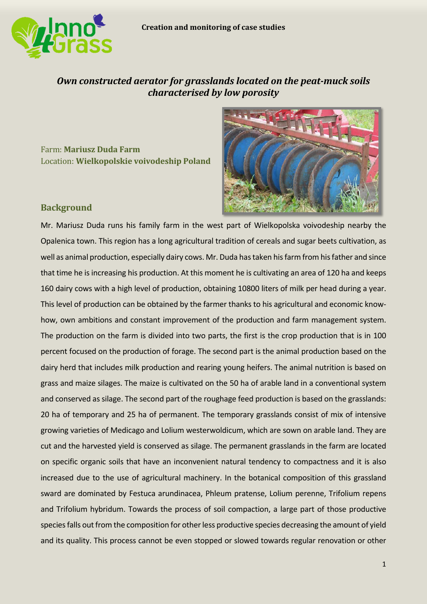

# *Own constructed aerator for grasslands located on the peat-muck soils characterised by low porosity*

Farm: **Mariusz Duda Farm** Location: **Wielkopolskie voivodeship Poland**



## **Background**

Mr. Mariusz Duda runs his family farm in the west part of Wielkopolska voivodeship nearby the Opalenica town. This region has a long agricultural tradition of cereals and sugar beets cultivation, as well as animal production, especially dairy cows. Mr. Duda has taken his farm from his father and since that time he is increasing his production. At this moment he is cultivating an area of 120 ha and keeps 160 dairy cows with a high level of production, obtaining 10800 liters of milk per head during a year. This level of production can be obtained by the farmer thanks to his agricultural and economic knowhow, own ambitions and constant improvement of the production and farm management system. The production on the farm is divided into two parts, the first is the crop production that is in 100 percent focused on the production of forage. The second part is the animal production based on the dairy herd that includes milk production and rearing young heifers. The animal nutrition is based on grass and maize silages. The maize is cultivated on the 50 ha of arable land in a conventional system and conserved as silage. The second part of the roughage feed production is based on the grasslands: 20 ha of temporary and 25 ha of permanent. The temporary grasslands consist of mix of intensive growing varieties of Medicago and Lolium westerwoldicum, which are sown on arable land. They are cut and the harvested yield is conserved as silage. The permanent grasslands in the farm are located on specific organic soils that have an inconvenient natural tendency to compactness and it is also increased due to the use of agricultural machinery. In the botanical composition of this grassland sward are dominated by Festuca arundinacea, Phleum pratense, Lolium perenne, Trifolium repens and Trifolium hybridum. Towards the process of soil compaction, a large part of those productive species falls out from the composition for other less productive species decreasing the amount of yield and its quality. This process cannot be even stopped or slowed towards regular renovation or other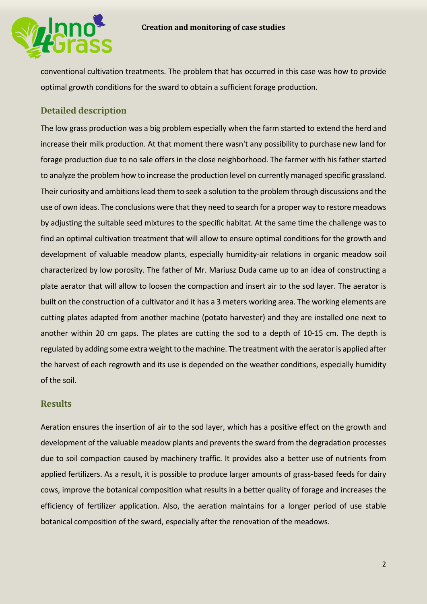

conventional cultivation treatments. The problem that has occurred in this case was how to provide optimal growth conditions for the sward to obtain a sufficient forage production.

## **Detailed description**

The low grass production was a big problem especially when the farm started to extend the herd and increase their milk production. At that moment there wasn't any possibility to purchase new land for forage production due to no sale offers in the close neighborhood. The farmer with his father started to analyze the problem how to increase the production level on currently managed specific grassland. Their curiosity and ambitions lead them to seek a solution to the problem through discussions and the use of own ideas. The conclusions were that they need to search for a proper way to restore meadows by adjusting the suitable seed mixtures to the specific habitat. At the same time the challenge was to find an optimal cultivation treatment that will allow to ensure optimal conditions for the growth and development of valuable meadow plants, especially humidity-air relations in organic meadow soil characterized by low porosity. The father of Mr. Mariusz Duda came up to an idea of constructing a plate aerator that will allow to loosen the compaction and insert air to the sod layer. The aerator is built on the construction of a cultivator and it has a 3 meters working area. The working elements are cutting plates adapted from another machine (potato harvester) and they are installed one next to another within 20 cm gaps. The plates are cutting the sod to a depth of 10-15 cm. The depth is regulated by adding some extra weight to the machine. The treatment with the aerator is applied after the harvest of each regrowth and its use is depended on the weather conditions, especially humidity of the soil.

## **Results**

Aeration ensures the insertion of air to the sod layer, which has a positive effect on the growth and development of the valuable meadow plants and prevents the sward from the degradation processes due to soil compaction caused by machinery traffic. It provides also a better use of nutrients from applied fertilizers. As a result, it is possible to produce larger amounts of grass-based feeds for dairy cows, improve the botanical composition what results in a better quality of forage and increases the efficiency of fertilizer application. Also, the aeration maintains for a longer period of use stable botanical composition of the sward, especially after the renovation of the meadows.